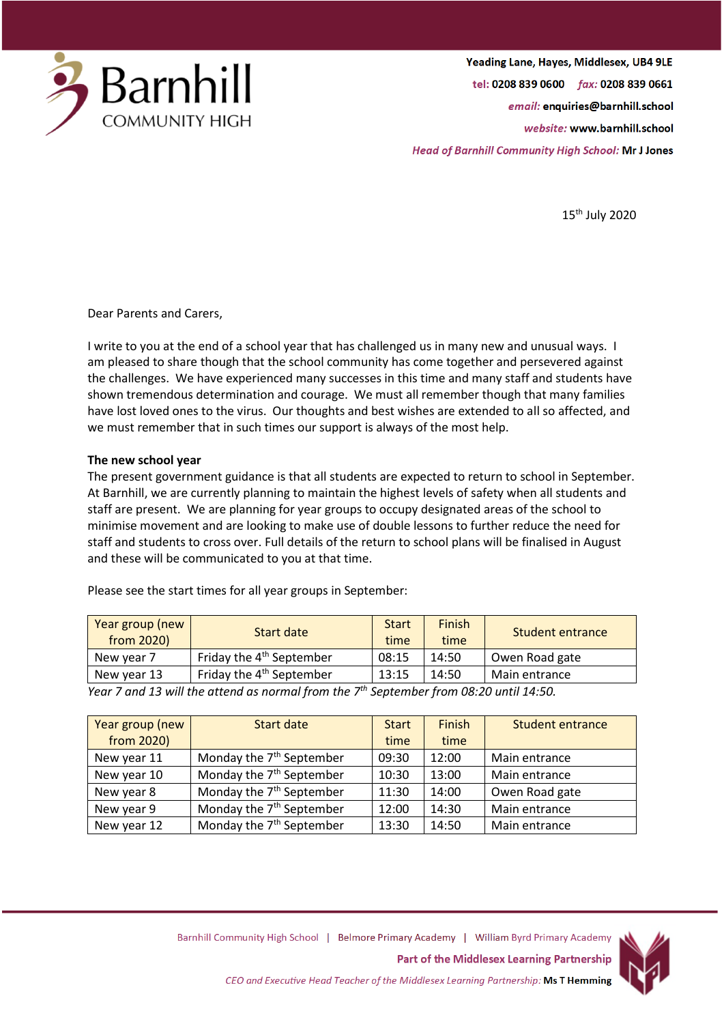

Yeading Lane, Hayes, Middlesex, UB4 9LE tel: 0208 839 0600 fax: 0208 839 0661 email: enquiries@barnhill.school website: www.barnhill.school **Head of Barnhill Community High School: Mr J Jones** 

15th July 2020

Dear Parents and Carers,

I write to you at the end of a school year that has challenged us in many new and unusual ways. I am pleased to share though that the school community has come together and persevered against the challenges. We have experienced many successes in this time and many staff and students have shown tremendous determination and courage. We must all remember though that many families have lost loved ones to the virus. Our thoughts and best wishes are extended to all so affected, and we must remember that in such times our support is always of the most help.

## **The new school year**

The present government guidance is that all students are expected to return to school in September. At Barnhill, we are currently planning to maintain the highest levels of safety when all students and staff are present. We are planning for year groups to occupy designated areas of the school to minimise movement and are looking to make use of double lessons to further reduce the need for staff and students to cross over. Full details of the return to school plans will be finalised in August and these will be communicated to you at that time.

| Year group (new<br>from 2020 | Start date                           | <b>Start</b><br>time | Finish<br>time | Student entrance |
|------------------------------|--------------------------------------|----------------------|----------------|------------------|
| New year 7                   | Friday the 4 <sup>th</sup> September | 08:15                | 14:50          | Owen Road gate   |
| New year 13                  | Friday the 4 <sup>th</sup> September | 13:15                | 14:50          | Main entrance    |

Please see the start times for all year groups in September:

*Year 7 and 13 will the attend as normal from the 7th September from 08:20 until 14:50.*

| Year group (new | Start date                           | <b>Start</b> | Finish | Student entrance |
|-----------------|--------------------------------------|--------------|--------|------------------|
| from 2020)      |                                      | time         | time   |                  |
| New year 11     | Monday the 7 <sup>th</sup> September | 09:30        | 12:00  | Main entrance    |
| New year 10     | Monday the 7 <sup>th</sup> September | 10:30        | 13:00  | Main entrance    |
| New year 8      | Monday the 7 <sup>th</sup> September | 11:30        | 14:00  | Owen Road gate   |
| New year 9      | Monday the 7 <sup>th</sup> September | 12:00        | 14:30  | Main entrance    |
| New year 12     | Monday the 7 <sup>th</sup> September | 13:30        | 14:50  | Main entrance    |